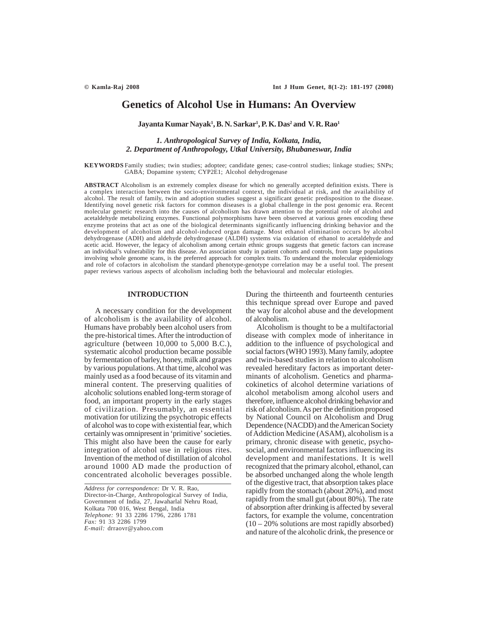# **Genetics of Alcohol Use in Humans: An Overview**

**Jayanta Kumar Nayak1 , B. N. Sarkar1 , P. K. Das2 and V. R. Rao1**

## *1. Anthropological Survey of India, Kolkata, India, 2. Department of Anthropology, Utkal University, Bhubaneswar, India*

**KEYWORDS** Family studies; twin studies; adoptee; candidate genes; case-control studies; linkage studies; SNPs; GABA; Dopamine system; CYP2E1; Alcohol dehydrogenase

**ABSTRACT** Alcoholism is an extremely complex disease for which no generally accepted definition exists. There is a complex interaction between the socio-environmental context, the individual at risk, and the availability of alcohol. The result of family, twin and adoption studies suggest a significant genetic predisposition to the disease. Identifying novel genetic risk factors for common diseases is a global challenge in the post genomic era. Recent molecular genetic research into the causes of alcoholism has drawn attention to the potential role of alcohol and acetaldehyde metabolizing enzymes. Functional polymorphisms have been observed at various genes encoding these enzyme proteins that act as one of the biological determinants significantly influencing drinking behavior and the development of alcoholism and alcohol-induced organ damage. Most ethanol elimination occurs by alcohol dehydrogenase (ADH) and aldehyde dehydrogenase (ALDH) systems via oxidation of ethanol to acetaldehyde and acetic acid. However, the legacy of alcoholism among certain ethnic groups suggests that genetic factors can increase an individual's vulnerability for this disease. An association study in patient cohorts and controls, from large populations involving whole genome scans, is the preferred approach for complex traits. To understand the molecular epidemiology and role of cofactors in alcoholism the standard phenotype-genotype correlation may be a useful tool. The present paper reviews various aspects of alcoholism including both the behavioural and molecular etiologies.

#### **INTRODUCTION**

A necessary condition for the development of alcoholism is the availability of alcohol. Humans have probably been alcohol users from the pre-historical times. After the introduction of agriculture (between 10,000 to 5,000 B.C.), systematic alcohol production became possible by fermentation of barley, honey, milk and grapes by various populations. At that time, alcohol was mainly used as a food because of its vitamin and mineral content. The preserving qualities of alcoholic solutions enabled long-term storage of food, an important property in the early stages of civilization. Presumably, an essential motivation for utilizing the psychotropic effects of alcohol was to cope with existential fear, which certainly was omnipresent in 'primitive' societies. This might also have been the cause for early integration of alcohol use in religious rites. Invention of the method of distillation of alcohol around 1000 AD made the production of concentrated alcoholic beverages possible.

*Address for correspondence:* Dr V. R. Rao, Director-in-Charge, Anthropological Survey of India, Government of India, 27, Jawaharlal Nehru Road, Kolkata 700 016, West Bengal, India *Telephone:* 91 33 2286 1796, 2286 1781 *Fax:* 91 33 2286 1799 *E-mail:* drraovr@yahoo.com

During the thirteenth and fourteenth centuries this technique spread over Europe and paved the way for alcohol abuse and the development of alcoholism.

Alcoholism is thought to be a multifactorial disease with complex mode of inheritance in addition to the influence of psychological and social factors (WHO 1993). Many family, adoptee and twin-based studies in relation to alcoholism revealed hereditary factors as important determinants of alcoholism. Genetics and pharmacokinetics of alcohol determine variations of alcohol metabolism among alcohol users and therefore, influence alcohol drinking behavior and risk of alcoholism. As per the definition proposed by National Council on Alcoholism and Drug Dependence (NACDD) and the American Society of Addiction Medicine (ASAM), alcoholism is a primary, chronic disease with genetic, psychosocial, and environmental factors influencing its development and manifestations. It is well recognized that the primary alcohol, ethanol, can be absorbed unchanged along the whole length of the digestive tract, that absorption takes place rapidly from the stomach (about 20%), and most rapidly from the small gut (about 80%). The rate of absorption after drinking is affected by several factors, for example the volume, concentration  $(10 - 20\%$  solutions are most rapidly absorbed) and nature of the alcoholic drink, the presence or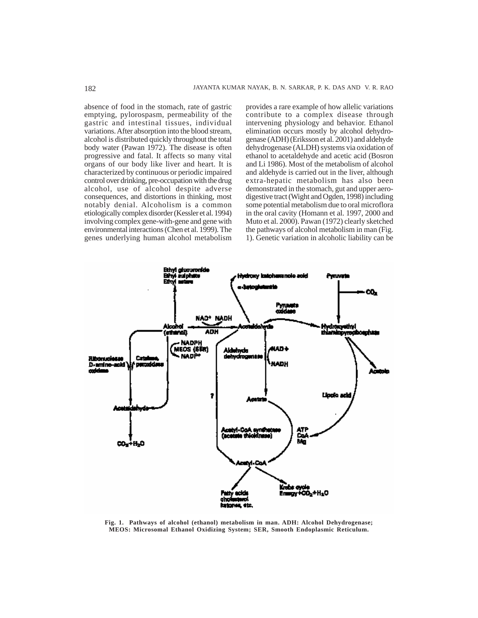absence of food in the stomach, rate of gastric emptying, pylorospasm, permeability of the gastric and intestinal tissues, individual variations. After absorption into the blood stream, alcohol is distributed quickly throughout the total body water (Pawan 1972). The disease is often progressive and fatal. It affects so many vital organs of our body like liver and heart. It is characterized by continuous or periodic impaired control over drinking, pre-occupation with the drug alcohol, use of alcohol despite adverse consequences, and distortions in thinking, most notably denial. Alcoholism is a common etiologically complex disorder (Kessler et al. 1994) involving complex gene-with-gene and gene with environmental interactions (Chen et al. 1999). The genes underlying human alcohol metabolism provides a rare example of how allelic variations contribute to a complex disease through intervening physiology and behavior. Ethanol elimination occurs mostly by alcohol dehydrogenase (ADH) (Eriksson et al. 2001) and aldehyde dehydrogenase (ALDH) systems via oxidation of ethanol to acetaldehyde and acetic acid (Bosron and Li 1986). Most of the metabolism of alcohol and aldehyde is carried out in the liver, although extra-hepatic metabolism has also been demonstrated in the stomach, gut and upper aerodigestive tract (Wight and Ogden, 1998) including some potential metabolism due to oral microflora in the oral cavity (Homann et al. 1997, 2000 and Muto et al. 2000). Pawan (1972) clearly sketched the pathways of alcohol metabolism in man (Fig. 1). Genetic variation in alcoholic liability can be



**Fig. 1. Pathways of alcohol (ethanol) metabolism in man. ADH: Alcohol Dehydrogenase; MEOS: Microsomal Ethanol Oxidizing System; SER, Smooth Endoplasmic Reticulum.**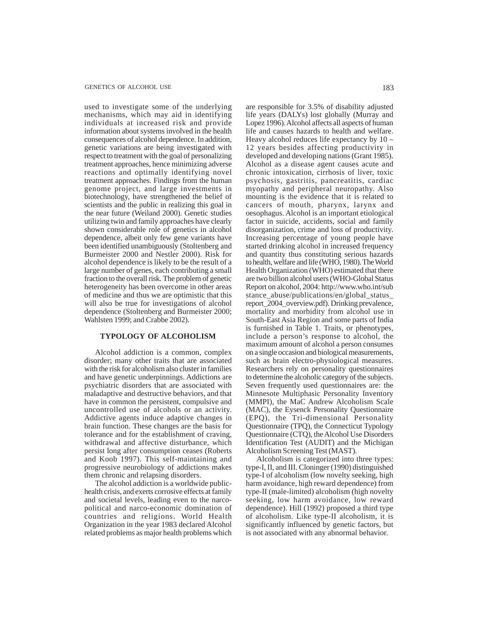used to investigate some of the underlying mechanisms, which may aid in identifying individuals at increased risk and provide information about systems involved in the health consequences of alcohol dependence. In addition, genetic variations are being investigated with respect to treatment with the goal of personalizing treatment approaches, hence minimizing adverse reactions and optimally identifying novel treatment approaches. Findings from the human genome project, and large investments in biotechnology, have strengthened the belief of scientists and the public in realizing this goal in the near future (Weiland 2000). Genetic studies utilizing twin and family approaches have clearly shown considerable role of genetics in alcohol dependence, albeit only few gene variants have been identified unambiguously (Stoltenberg and Burmeister 2000 and Nestler 2000). Risk for alcohol dependence is likely to be the result of a large number of genes, each contributing a small fraction to the overall risk. The problem of genetic heterogeneity has been overcome in other areas of medicine and thus we are optimistic that this will also be true for investigations of alcohol dependence (Stoltenberg and Burmeister 2000; Wahlsten 1999; and Crabbe 2002).

## **TYPOLOGY OF ALCOHOLISM**

Alcohol addiction is a common, complex disorder; many other traits that are associated with the risk for alcoholism also cluster in families and have genetic underpinnings. Addictions are psychiatric disorders that are associated with maladaptive and destructive behaviors, and that have in common the persistent, compulsive and uncontrolled use of alcohols or an activity. Addictive agents induce adaptive changes in brain function. These changes are the basis for tolerance and for the establishment of craving, withdrawal and affective disturbance, which persist long after consumption ceases (Roberts and Koob 1997). This self-maintaining and progressive neurobiology of addictions makes them chronic and relapsing disorders.

The alcohol addiction is a worldwide publichealth crisis, and exerts corrosive effects at family and societal levels, leading even to the narcopolitical and narco-economic domination of countries and religions. World Health Organization in the year 1983 declared Alcohol related problems as major health problems which

are responsible for 3.5% of disability adjusted life years (DALYs) lost globally (Murray and Lopez 1996). Alcohol affects all aspects of human life and causes hazards to health and welfare. Heavy alcohol reduces life expectancy by 10 – 12 years besides affecting productivity in developed and developing nations (Grant 1985). Alcohol as a disease agent causes acute and chronic intoxication, cirrhosis of liver, toxic psychosis, gastritis, pancreatitis, cardiac myopathy and peripheral neuropathy. Also mounting is the evidence that it is related to cancers of mouth, pharynx, larynx and oesophagus. Alcohol is an important etiological factor in suicide, accidents, social and family disorganization, crime and loss of productivity. Increasing percentage of young people have started drinking alcohol in increased frequency and quantity thus constituting serious hazards to health, welfare and life (WHO, 1980). The World Health Organization (WHO) estimated that there are two billion alcohol users (WHO-Global Status Report on alcohol, 2004: http://www.who.int/sub stance\_abuse/publications/en/global\_status\_ report\_2004\_overview.pdf). Drinking prevalence, mortality and morbidity from alcohol use in South-East Asia Region and some parts of India is furnished in Table 1. Traits, or phenotypes, include a person's response to alcohol, the maximum amount of alcohol a person consumes on a single occasion and biological measurements, such as brain electro-physiological measures. Researchers rely on personality questionnaires to determine the alcoholic category of the subjects. Seven frequently used questionnaires are: the Minnesote Multiphasic Personality Inventory (MMPI), the MaC Andrew Alcoholism Scale (MAC), the Eysenck Personality Questionnaire (EPQ), the Tri-dimensional Personality Questionnaire (TPQ), the Connecticut Typology Questionnaire (CTQ), the Alcohol Use Disorders Identification Test (AUDIT) and the Michigan Alcoholism Screening Test (MAST).

Alcoholism is categorized into three types: type-I, II, and III. Cloninger (1990) distinguished type-I of alcoholism (low novelty seeking, high harm avoidance, high reward dependence) from type-II (male-limited) alcoholism (high novelty seeking, low harm avoidance, low reward dependence). Hill (1992) proposed a third type of alcoholism. Like type-II alcoholism, it is significantly influenced by genetic factors, but is not associated with any abnormal behavior.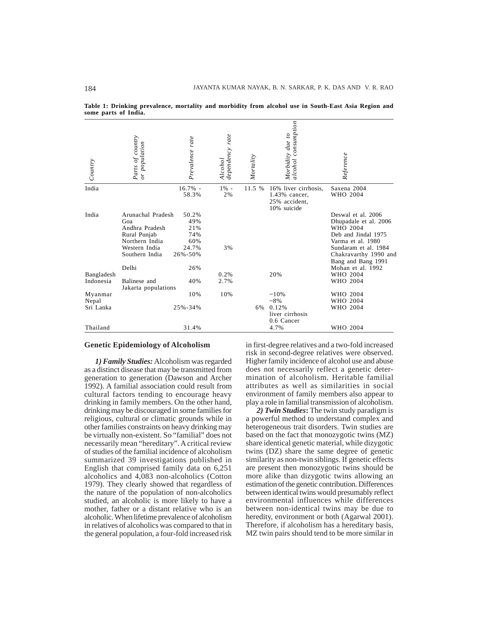| Country                       | Parts of country<br>or population<br>population                                                                 | rate<br>Prevalence                                    | rate<br>dependentcy<br>Alcohol | Mortality | consumption<br>Morbidity due to<br>alcohol                            | Reference                                                                                                                                                                  |
|-------------------------------|-----------------------------------------------------------------------------------------------------------------|-------------------------------------------------------|--------------------------------|-----------|-----------------------------------------------------------------------|----------------------------------------------------------------------------------------------------------------------------------------------------------------------------|
| India                         |                                                                                                                 | $16.7%$ -<br>58.3%                                    | $1\%$ -<br>2%                  | 11.5 %    | 16% liver cirrhosis.<br>1.43% cancer.<br>25% accident,<br>10% suicide | Saxena 2004<br>WHO 2004                                                                                                                                                    |
| India                         | Arunachal Pradesh<br>Goa<br>Andhra Pradesh<br>Rural Punjab<br>Northern India<br>Western India<br>Southern India | 50.2%<br>49%<br>21%<br>74%<br>60%<br>24.7%<br>26%-50% | 3%                             |           |                                                                       | Deswal et al. 2006<br>Dhupadale et al. 2006<br>WHO 2004<br>Deb and Jindal 1975<br>Varma et al. 1980<br>Sundaram et al. 1984<br>Chakravarthy 1990 and<br>Bang and Bang 1991 |
| Bangladesh<br>Indonesia       | Delhi<br>Balinese and<br>Jakarta populations                                                                    | 26%<br>40%                                            | 0.2%<br>2.7%                   |           | 20%                                                                   | Mohan et al. 1992<br>WHO 2004<br>WHO 2004                                                                                                                                  |
| Myanmar<br>Nepal<br>Sri Lanka |                                                                                                                 | 10%<br>25%-34%                                        | 10%                            | 6%        | $~10\%$<br>~18%<br>0.12%<br>liver cirrhosis                           | WHO 2004<br>WHO 2004<br>WHO 2004                                                                                                                                           |
| Thailand                      |                                                                                                                 | 31.4%                                                 |                                |           | 0.6 Cancer<br>4.7%                                                    | WHO 2004                                                                                                                                                                   |

**Table 1: Drinking prevalence, mortality and morbidity from alcohol use in South-East Asia Region and some parts of India.**

#### **Genetic Epidemiology of Alcoholism**

*1) Family Studies:* Alcoholism was regarded as a distinct disease that may be transmitted from generation to generation (Dawson and Archer 1992). A familial association could result from cultural factors tending to encourage heavy drinking in family members. On the other hand, drinking may be discouraged in some families for religious, cultural or climatic grounds while in other families constraints on heavy drinking may be virtually non-existent. So "familial" does not necessarily mean "hereditary". A critical review of studies of the familial incidence of alcoholism summarized 39 investigations published in English that comprised family data on 6,251 alcoholics and 4,083 non-alcoholics (Cotton 1979). They clearly showed that regardless of the nature of the population of non-alcoholics studied, an alcoholic is more likely to have a mother, father or a distant relative who is an alcoholic. When lifetime prevalence of alcoholism in relatives of alcoholics was compared to that in the general population, a four-fold increased risk

in first-degree relatives and a two-fold increased risk in second-degree relatives were observed. Higher family incidence of alcohol use and abuse does not necessarily reflect a genetic determination of alcoholism. Heritable familial attributes as well as similarities in social environment of family members also appear to play a role in familial transmission of alcoholism.

*2) Twin Studies***:** The twin study paradigm is a powerful method to understand complex and heterogeneous trait disorders. Twin studies are based on the fact that monozygotic twins (MZ) share identical genetic material, while dizygotic twins (DZ) share the same degree of genetic similarity as non-twin siblings. If genetic effects are present then monozygotic twins should be more alike than dizygotic twins allowing an estimation of the genetic contribution. Differences between identical twins would presumably reflect environmental influences while differences between non-identical twins may be due to heredity, environment or both (Agarwal 2001). Therefore, if alcoholism has a hereditary basis, MZ twin pairs should tend to be more similar in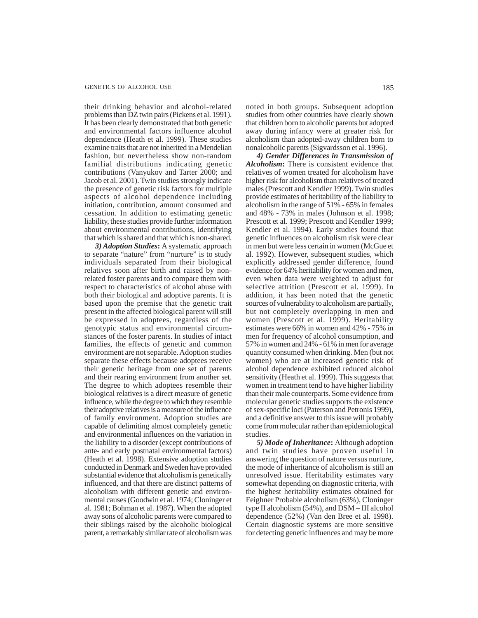their drinking behavior and alcohol-related problems than DZ twin pairs (Pickens et al. 1991). It has been clearly demonstrated that both genetic and environmental factors influence alcohol dependence (Heath et al. 1999). These studies examine traits that are not inherited in a Mendelian fashion, but nevertheless show non-random familial distributions indicating genetic contributions (Vanyukov and Tarter 2000; and Jacob et al. 2001). Twin studies strongly indicate the presence of genetic risk factors for multiple aspects of alcohol dependence including initiation, contribution, amount consumed and cessation. In addition to estimating genetic liability, these studies provide further information about environmental contributions, identifying that which is shared and that which is non-shared.

*3) Adoption Studies***:** A systematic approach to separate "nature" from "nurture" is to study individuals separated from their biological relatives soon after birth and raised by nonrelated foster parents and to compare them with respect to characteristics of alcohol abuse with both their biological and adoptive parents. It is based upon the premise that the genetic trait present in the affected biological parent will still be expressed in adoptees, regardless of the genotypic status and environmental circumstances of the foster parents. In studies of intact families, the effects of genetic and common environment are not separable. Adoption studies separate these effects because adoptees receive their genetic heritage from one set of parents and their rearing environment from another set. The degree to which adoptees resemble their biological relatives is a direct measure of genetic influence, while the degree to which they resemble their adoptive relatives is a measure of the influence of family environment. Adoption studies are capable of delimiting almost completely genetic and environmental influences on the variation in the liability to a disorder (except contributions of ante- and early postnatal environmental factors) (Heath et al. 1998). Extensive adoption studies conducted in Denmark and Sweden have provided substantial evidence that alcoholism is genetically influenced, and that there are distinct patterns of alcoholism with different genetic and environmental causes (Goodwin et al. 1974; Cloninger et al. 1981; Bohman et al. 1987). When the adopted away sons of alcoholic parents were compared to their siblings raised by the alcoholic biological parent, a remarkably similar rate of alcoholism was

noted in both groups. Subsequent adoption studies from other countries have clearly shown that children born to alcoholic parents but adopted away during infancy were at greater risk for alcoholism than adopted-away children born to nonalcoholic parents (Sigvardsson et al. 1996).

*4) Gender Differences in Transmission of Alcoholism***:** There is consistent evidence that relatives of women treated for alcoholism have higher risk for alcoholism than relatives of treated males (Prescott and Kendler 1999). Twin studies provide estimates of heritability of the liability to alcoholism in the range of 51% - 65% in females and 48% - 73% in males (Johnson et al. 1998; Prescott et al. 1999; Prescott and Kendler 1999; Kendler et al. 1994). Early studies found that genetic influences on alcoholism risk were clear in men but were less certain in women (McGue et al. 1992). However, subsequent studies, which explicitly addressed gender difference, found evidence for 64% heritability for women and men, even when data were weighted to adjust for selective attrition (Prescott et al. 1999). In addition, it has been noted that the genetic sources of vulnerability to alcoholism are partially, but not completely overlapping in men and women (Prescott et al. 1999). Heritability estimates were 66% in women and 42% - 75% in men for frequency of alcohol consumption, and 57% in women and 24% - 61% in men for average quantity consumed when drinking. Men (but not women) who are at increased genetic risk of alcohol dependence exhibited reduced alcohol sensitivity (Heath et al. 1999). This suggests that women in treatment tend to have higher liability than their male counterparts. Some evidence from molecular genetic studies supports the existence of sex-specific loci (Paterson and Petronis 1999), and a definitive answer to this issue will probably come from molecular rather than epidemiological studies.

*5) Mode of Inheritance***:** Although adoption and twin studies have proven useful in answering the question of nature versus nurture, the mode of inheritance of alcoholism is still an unresolved issue. Heritability estimates vary somewhat depending on diagnostic criteria, with the highest heritability estimates obtained for Feighner Probable alcoholism (63%), Cloninger type II alcoholism (54%), and DSM – III alcohol dependence (52%) (Van den Bree et al. 1998). Certain diagnostic systems are more sensitive for detecting genetic influences and may be more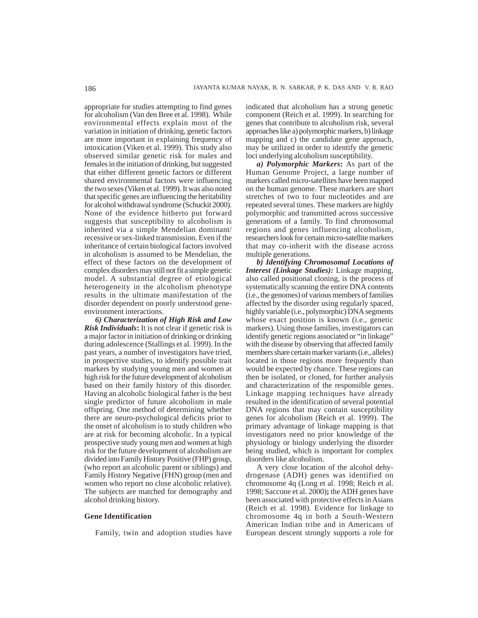appropriate for studies attempting to find genes for alcoholism (Van den Bree et al. 1998). While environmental effects explain most of the variation in initiation of drinking, genetic factors are more important in explaining frequency of intoxication (Viken et al. 1999). This study also observed similar genetic risk for males and females in the initiation of drinking, but suggested that either different genetic factors or different shared environmental factors were influencing the two sexes (Viken et al. 1999). It was also noted that specific genes are influencing the heritability for alcohol withdrawal syndrome (Schuckit 2000). None of the evidence hitherto put forward suggests that susceptibility to alcoholism is inherited via a simple Mendelian dominant/ recessive or sex-linked transmission. Even if the inheritance of certain biological factors involved in alcoholism is assumed to be Mendelian, the effect of these factors on the development of complex disorders may still not fit a simple genetic model. A substantial degree of etiological heterogeneity in the alcoholism phenotype results in the ultimate manifestation of the disorder dependent on poorly understood geneenvironment interactions.

*6) Characterization of High Risk and Low Risk Individuals***:** It is not clear if genetic risk is a major factor in initiation of drinking or drinking during adolescence (Stallings et al. 1999). In the past years, a number of investigators have tried, in prospective studies, to identify possible trait markers by studying young men and women at high risk for the future development of alcoholism based on their family history of this disorder. Having an alcoholic biological father is the best single predictor of future alcoholism in male offspring. One method of determining whether there are neuro-psychological deficits prior to the onset of alcoholism is to study children who are at risk for becoming alcoholic. In a typical prospective study young men and women at high risk for the future development of alcoholism are divided into Family History Positive (FHP) group, (who report an alcoholic parent or siblings) and Family History Negative (FHN) group (men and women who report no close alcoholic relative). The subjects are matched for demography and alcohol drinking history.

#### **Gene Identification**

Family, twin and adoption studies have

indicated that alcoholism has a strong genetic component (Reich et al. 1999). In searching for genes that contribute to alcoholism risk, several approaches like a) polymorphic markers, b) linkage mapping and c) the candidate gene approach, may be utilized in order to identify the genetic loci underlying alcoholism susceptibility.

*a) Polymorphic Markers***:** As part of the Human Genome Project, a large number of markers called micro-satellites have been mapped on the human genome. These markers are short stretches of two to four nucleotides and are repeated several times. These markers are highly polymorphic and transmitted across successive generations of a family. To find chromosomal regions and genes influencing alcoholism, researchers look for certain micro-satellite markers that may co-inherit with the disease across multiple generations.

*b) Identifying Chromosomal Locations of Interest (Linkage Studies):* Linkage mapping, also called positional cloning, is the process of systematically scanning the entire DNA contents (i.e., the genomes) of various members of families affected by the disorder using regularly spaced, highly variable (i.e., polymorphic) DNA segments whose exact position is known (i.e., genetic markers). Using those families, investigators can identify genetic regions associated or "in linkage" with the disease by observing that affected family members share certain marker variants (i.e., alleles) located in those regions more frequently than would be expected by chance. These regions can then be isolated, or cloned, for further analysis and characterization of the responsible genes. Linkage mapping techniques have already resulted in the identification of several potential DNA regions that may contain susceptibility genes for alcoholism (Reich et al. 1999). The primary advantage of linkage mapping is that investigators need no prior knowledge of the physiology or biology underlying the disorder being studied, which is important for complex disorders like alcoholism.

A very close location of the alcohol dehydrogenase (ADH) genes was identified on chromosome 4q (Long et al. 1998; Reich et al. 1998; Saccone et al. 2000)**;** the ADH genes have been associated with protective effects in Asians (Reich et al. 1998). Evidence for linkage to chromosome 4q in both a South-Western American Indian tribe and in Americans of European descent strongly supports a role for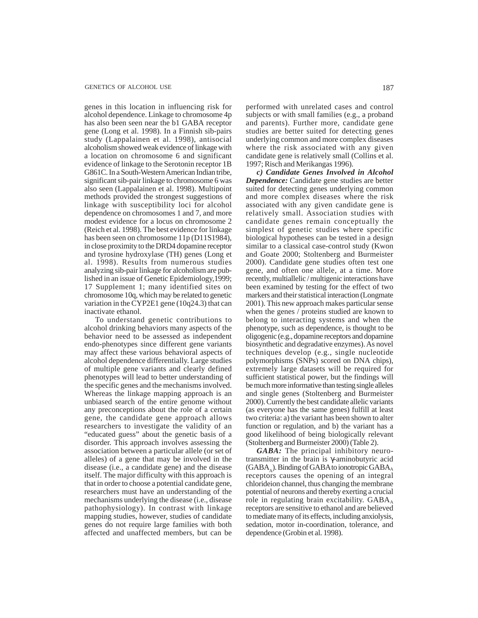genes in this location in influencing risk for alcohol dependence. Linkage to chromosome 4p has also been seen near the b1 GABA receptor gene (Long et al. 1998). In a Finnish sib-pairs study (Lappalainen et al. 1998), antisocial alcoholism showed weak evidence of linkage with a location on chromosome 6 and significant evidence of linkage to the Serotonin receptor 1B G861C. In a South-Western American Indian tribe, significant sib-pair linkage to chromosome 6 was also seen (Lappalainen et al. 1998). Multipoint methods provided the strongest suggestions of linkage with susceptibility loci for alcohol dependence on chromosomes 1 and 7, and more modest evidence for a locus on chromosome 2 (Reich et al. 1998). The best evidence for linkage has been seen on chromosome 11p (D11S1984), in close proximity to the DRD4 dopamine receptor and tyrosine hydroxylase (TH) genes (Long et al. 1998). Results from numerous studies analyzing sib-pair linkage for alcoholism are published in an issue of Genetic Epidemiology,1999; 17 Supplement 1; many identified sites on chromosome 10q, which may be related to genetic variation in the CYP2E1 gene (10q24.3) that can inactivate ethanol.

To understand genetic contributions to alcohol drinking behaviors many aspects of the behavior need to be assessed as independent endo-phenotypes since different gene variants may affect these various behavioral aspects of alcohol dependence differentially. Large studies of multiple gene variants and clearly defined phenotypes will lead to better understanding of the specific genes and the mechanisms involved. Whereas the linkage mapping approach is an unbiased search of the entire genome without any preconceptions about the role of a certain gene, the candidate gene approach allows researchers to investigate the validity of an "educated guess" about the genetic basis of a disorder. This approach involves assessing the association between a particular allele (or set of alleles) of a gene that may be involved in the disease (i.e., a candidate gene) and the disease itself. The major difficulty with this approach is that in order to choose a potential candidate gene, researchers must have an understanding of the mechanisms underlying the disease (i.e., disease pathophysiology). In contrast with linkage mapping studies, however, studies of candidate genes do not require large families with both affected and unaffected members, but can be

performed with unrelated cases and control subjects or with small families (e.g., a proband and parents). Further more, candidate gene studies are better suited for detecting genes underlying common and more complex diseases where the risk associated with any given candidate gene is relatively small (Collins et al. 1997; Risch and Merikangas 1996).

*c) Candidate Genes Involved in Alcohol Dependence:* Candidate gene studies are better suited for detecting genes underlying common and more complex diseases where the risk associated with any given candidate gene is relatively small. Association studies with candidate genes remain conceptually the simplest of genetic studies where specific biological hypotheses can be tested in a design similar to a classical case-control study (Kwon and Goate 2000; Stoltenberg and Burmeister 2000). Candidate gene studies often test one gene, and often one allele, at a time. More recently, multiallelic / multigenic interactions have been examined by testing for the effect of two markers and their statistical interaction (Longmate 2001). This new approach makes particular sense when the genes / proteins studied are known to belong to interacting systems and when the phenotype, such as dependence, is thought to be oligogenic (e.g., dopamine receptors and dopamine biosynthetic and degradative enzymes). As novel techniques develop (e.g., single nucleotide polymorphisms (SNPs) scored on DNA chips), extremely large datasets will be required for sufficient statistical power, but the findings will be much more informative than testing single alleles and single genes (Stoltenberg and Burmeister 2000). Currently the best candidate allelic variants (as everyone has the same genes) fulfill at least two criteria: a) the variant has been shown to alter function or regulation, and b) the variant has a good likelihood of being biologically relevant (Stoltenberg and Burmeister 2000) (Table 2).

*GABA:* The principal inhibitory neurotransmitter in the brain is γ-aminobutyric acid  $(GABA_A)$ . Binding of GABA to ionotropic GABA<sub>A</sub> receptors causes the opening of an integral chlorideion channel, thus changing the membrane potential of neurons and thereby exerting a crucial role in regulating brain excitability.  $GABA_A$ receptors are sensitive to ethanol and are believed to mediate many of its effects, including anxiolysis, sedation, motor in-coordination, tolerance, and dependence (Grobin et al. 1998).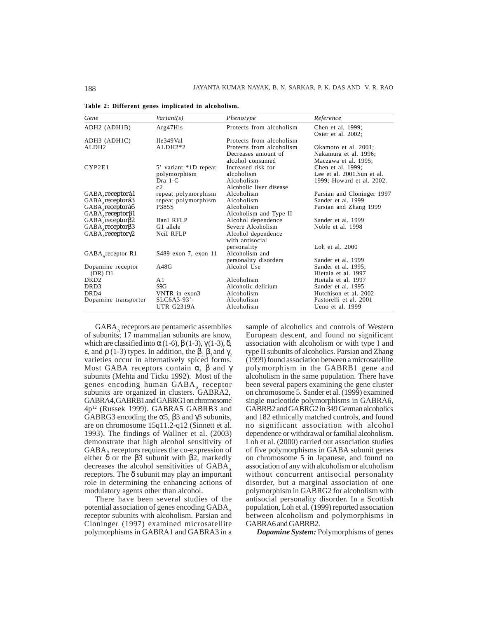| Gene                                                             | Variant(s)                      | Phenotype                                                           | Reference                                                             |
|------------------------------------------------------------------|---------------------------------|---------------------------------------------------------------------|-----------------------------------------------------------------------|
| ADH <sub>2</sub> (ADH <sub>1B</sub> )                            | Arg47His                        | Protects from alcoholism                                            | Chen et al. 1999;<br>Osier et al. 2002;                               |
| ADH3 (ADH1C)                                                     | Ile349Val                       | Protects from alcoholism                                            |                                                                       |
| ALDH <sub>2</sub>                                                | $ALDH2*2$                       | Protects from alcoholism<br>Decreases amount of<br>alcohol consumed | Okamoto et al. 2001;<br>Nakamura et al. 1996;<br>Maczawa et al. 1995: |
| CYP2E1                                                           | 5' variant *1D repeat           | Increased risk for                                                  | Chen et al. 1999;                                                     |
|                                                                  | polymorphism<br>$Dra$ 1-C<br>c2 | alcoholism<br>Alcoholism<br>Alcoholic liver disease                 | Lee et al. 2001. Sun et al.<br>1999; Howard et al. 2002.              |
| $GABA$ <sub>A</sub> receptorál                                   | repeat polymorphism             | Alcoholism                                                          | Parsian and Cloninger 1997                                            |
| GABA receptorá3                                                  | repeat polymorphism             | Alcoholism                                                          | Sander et al. 1999                                                    |
| GABA receptorá6<br>$GABA$ <sub>A</sub> receptor $\beta1$         | P385S                           | Alcoholism<br>Alcoholism and Type II                                | Parsian and Zhang 1999                                                |
| $GABA_A^\top \text{receptor} \beta2$                             | BanI RFLP                       | Alcohol dependence                                                  | Sander et al. 1999                                                    |
| $GABA_{\alpha}$ receptor $\beta$ 3<br>$GABA$ receptor $\gamma$ 2 | G1 allele<br>Ncil RFLP          | Severe Alcoholism<br>Alcohol dependence<br>with antisocial          | Noble et al. 1998                                                     |
|                                                                  |                                 | personality                                                         | Loh et al. $2000$                                                     |
| $GABA$ receptor R1                                               | S489 exon 7, exon 11            | Alcoholism and<br>personality disorders                             | Sander et al. 1999                                                    |
| Dopamine receptor<br>(DR) D1                                     | A48G                            | Alcohol Use                                                         | Sander et al. 1995;<br>Hietala et al. 1997                            |
| DRD <sub>2</sub>                                                 | A1                              | Alcoholism                                                          | Hietala et al. 1997                                                   |
| DRD3                                                             | S9G                             | Alcoholic delirium                                                  | Sander et al. 1995                                                    |
| DR <sub>D</sub> 4                                                | VNTR in exon3                   | Alcoholism                                                          | Hutchison et al. 2002                                                 |
| Dopamine transporter                                             | $SLC6A3-93'$ -                  | Alcoholism                                                          | Pastorelli et al. 2001                                                |
|                                                                  | <b>UTR G2319A</b>               | Alcoholism                                                          | Ueno et al. 1999                                                      |

**Table 2: Different genes implicated in alcoholism.**

GABA, receptors are pentameric assemblies of subunits; 17 mammalian subunits are know, which are classified into  $\alpha$  (1-6),  $\beta$  (1-3),  $\gamma$  (1-3),  $\delta$ , ε, and ρ (1-3) types. In addition, the  $\beta$ ,  $\beta$ <sub>3</sub> and γ<sub>2</sub> varieties occur in alternatively spiced forms. Most GABA receptors contain  $\alpha$ ,  $\beta$  and  $\gamma$ subunits (Mehta and Ticku 1992). Most of the genes encoding human  $GABA$  receptor subunits are organized in clusters. GABRA2, GABRA4,GABRB1and GABRG1on chromosome 4p<sup>12</sup> (Russek 1999). GABRA5 GABRB3 and GABRG3 encoding the  $\alpha$ 5,  $\beta$ 3 and  $\gamma$ 3 subunits, are on chromosome 15q11.2-q12 (Sinnett et al. 1993). The findings of Wallner et al. (2003) demonstrate that high alcohol sensitivity of GABAA receptors requires the co-expression of either  $δ$  or the  $β$ 3 subunit with  $β$ 2, markedly decreases the alcohol sensitivities of  $GABA$ <sub>s</sub> receptors. The  $\delta$  subunit may play an important role in determining the enhancing actions of modulatory agents other than alcohol.

There have been several studies of the potential association of genes encoding GABA. receptor subunits with alcoholism. Parsian and Cloninger (1997) examined microsatellite polymorphisms in GABRA1 and GABRA3 in a sample of alcoholics and controls of Western European descent, and found no significant association with alcoholism or with type I and type II subunits of alcoholics. Parsian and Zhang (1999) found association between a microsatellite polymorphism in the GABRB1 gene and alcoholism in the same population. There have been several papers examining the gene cluster on chromosome 5. Sander et al. (1999) examined single nucleotide polymorphisms in GABRA6, GABRB2 and GABRG2 in 349 German alcoholics and 182 ethnically matched controls, and found no significant association with alcohol dependence or withdrawal or familial alcoholism. Loh et al. (2000) carried out association studies of five polymorphisms in GABA subunit genes on chromosome 5 in Japanese, and found no association of any with alcoholism or alcoholism without concurrent antisocial personality disorder, but a marginal association of one polymorphism in GABRG2 for alcoholism with antisocial personality disorder. In a Scottish population, Loh et al. (1999) reported association between alcoholism and polymorphisms in GABRA6 and GABRB2.

*Dopamine System:* Polymorphisms of genes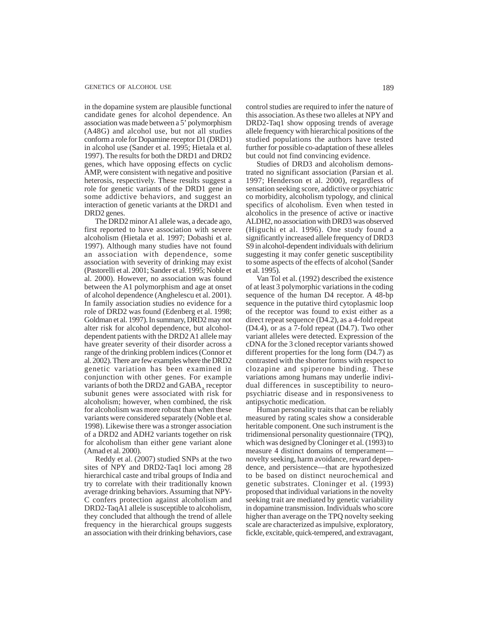in the dopamine system are plausible functional candidate genes for alcohol dependence. An association was made between a 5' polymorphism (A48G) and alcohol use, but not all studies conform a role for Dopamine receptor D1 (DRD1) in alcohol use (Sander et al. 1995; Hietala et al. 1997). The results for both the DRD1 and DRD2 genes, which have opposing effects on cyclic AMP, were consistent with negative and positive heterosis, respectively. These results suggest a role for genetic variants of the DRD1 gene in some addictive behaviors, and suggest an interaction of genetic variants at the DRD1 and DRD2 genes.

The DRD2 minor A1 allele was, a decade ago, first reported to have association with severe alcoholism (Hietala et al. 1997; Dobashi et al. 1997). Although many studies have not found an association with dependence, some association with severity of drinking may exist (Pastorelli et al. 2001; Sander et al. 1995; Noble et al. 2000). However, no association was found between the A1 polymorphism and age at onset of alcohol dependence (Anghelescu et al. 2001). In family association studies no evidence for a role of DRD2 was found (Edenberg et al. 1998; Goldman et al. 1997). In summary, DRD2 may not alter risk for alcohol dependence, but alcoholdependent patients with the DRD2 A1 allele may have greater severity of their disorder across a range of the drinking problem indices (Connor et al. 2002). There are few examples where the DRD2 genetic variation has been examined in conjunction with other genes. For example variants of both the DRD2 and  $GABA_\lambda$  receptor subunit genes were associated with risk for alcoholism; however, when combined, the risk for alcoholism was more robust than when these variants were considered separately (Noble et al. 1998). Likewise there was a stronger association of a DRD2 and ADH2 variants together on risk for alcoholism than either gene variant alone (Amad et al. 2000).

Reddy et al. (2007) studied SNPs at the two sites of NPY and DRD2-Taq1 loci among 28 hierarchical caste and tribal groups of India and try to correlate with their traditionally known average drinking behaviors. Assuming that NPY-C confers protection against alcoholism and DRD2-TaqA1 allele is susceptible to alcoholism, they concluded that although the trend of allele frequency in the hierarchical groups suggests an association with their drinking behaviors, case control studies are required to infer the nature of this association. As these two alleles at NPY and DRD2-Taq1 show opposing trends of average allele frequency with hierarchical positions of the studied populations the authors have tested further for possible co-adaptation of these alleles but could not find convincing evidence.

Studies of DRD3 and alcoholism demonstrated no significant association (Parsian et al. 1997; Henderson et al. 2000), regardless of sensation seeking score, addictive or psychiatric co morbidity, alcoholism typology, and clinical specifics of alcoholism. Even when tested in alcoholics in the presence of active or inactive ALDH2, no association with DRD3 was observed (Higuchi et al. 1996). One study found a significantly increased allele frequency of DRD3 S9 in alcohol-dependent individuals with delirium suggesting it may confer genetic susceptibility to some aspects of the effects of alcohol (Sander et al. 1995).

Van Tol et al. (1992) described the existence of at least 3 polymorphic variations in the coding sequence of the human D4 receptor. A 48-bp sequence in the putative third cytoplasmic loop of the receptor was found to exist either as a direct repeat sequence (D4.2), as a 4-fold repeat (D4.4), or as a 7-fold repeat (D4.7). Two other variant alleles were detected. Expression of the cDNA for the 3 cloned receptor variants showed different properties for the long form (D4.7) as contrasted with the shorter forms with respect to clozapine and spiperone binding. These variations among humans may underlie individual differences in susceptibility to neuropsychiatric disease and in responsiveness to antipsychotic medication.

Human personality traits that can be reliably measured by rating scales show a considerable heritable component. One such instrument is the tridimensional personality questionnaire (TPQ), which was designed by Cloninger et al. (1993) to measure 4 distinct domains of temperament novelty seeking, harm avoidance, reward dependence, and persistence—that are hypothesized to be based on distinct neurochemical and genetic substrates. Cloninger et al. (1993) proposed that individual variations in the novelty seeking trait are mediated by genetic variability in dopamine transmission. Individuals who score higher than average on the TPQ novelty seeking scale are characterized as impulsive, exploratory, fickle, excitable, quick-tempered, and extravagant,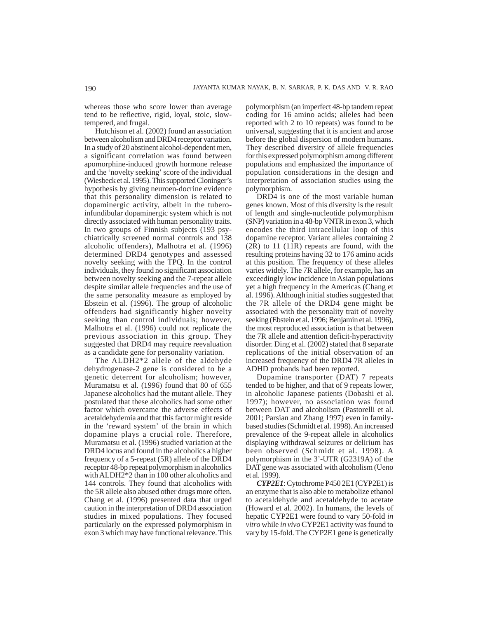whereas those who score lower than average tend to be reflective, rigid, loyal, stoic, slowtempered, and frugal.

Hutchison et al. (2002) found an association between alcoholism and DRD4 receptor variation. In a study of 20 abstinent alcohol-dependent men, a significant correlation was found between apomorphine-induced growth hormone release and the 'novelty seeking' score of the individual (Wiesbeck et al. 1995). This supported Cloninger's hypothesis by giving neuroen-docrine evidence that this personality dimension is related to dopaminergic activity, albeit in the tuberoinfundibular dopaminergic system which is not directly associated with human personality traits. In two groups of Finnish subjects (193 psychiatrically screened normal controls and 138 alcoholic offenders), Malhotra et al. (1996) determined DRD4 genotypes and assessed novelty seeking with the TPQ. In the control individuals, they found no significant association between novelty seeking and the 7-repeat allele despite similar allele frequencies and the use of the same personality measure as employed by Ebstein et al. (1996). The group of alcoholic offenders had significantly higher novelty seeking than control individuals; however, Malhotra et al. (1996) could not replicate the previous association in this group. They suggested that DRD4 may require reevaluation as a candidate gene for personality variation.

The ALDH2\*2 allele of the aldehyde dehydrogenase-2 gene is considered to be a genetic deterrent for alcoholism; however, Muramatsu et al. (1996) found that 80 of 655 Japanese alcoholics had the mutant allele. They postulated that these alcoholics had some other factor which overcame the adverse effects of acetaldehydemia and that this factor might reside in the 'reward system' of the brain in which dopamine plays a crucial role. Therefore, Muramatsu et al. (1996) studied variation at the DRD4 locus and found in the alcoholics a higher frequency of a 5-repeat (5R) allele of the DRD4 receptor 48-bp repeat polymorphism in alcoholics with ALDH2\*2 than in 100 other alcoholics and 144 controls. They found that alcoholics with the 5R allele also abused other drugs more often. Chang et al. (1996) presented data that urged caution in the interpretation of DRD4 association studies in mixed populations. They focused particularly on the expressed polymorphism in exon 3 which may have functional relevance. This

polymorphism (an imperfect 48-bp tandem repeat coding for 16 amino acids; alleles had been reported with 2 to 10 repeats) was found to be universal, suggesting that it is ancient and arose before the global dispersion of modern humans. They described diversity of allele frequencies for this expressed polymorphism among different populations and emphasized the importance of population considerations in the design and interpretation of association studies using the polymorphism.

DRD4 is one of the most variable human genes known. Most of this diversity is the result of length and single-nucleotide polymorphism (SNP) variation in a 48-bp VNTR in exon 3, which encodes the third intracellular loop of this dopamine receptor. Variant alleles containing 2 (2R) to 11 (11R) repeats are found, with the resulting proteins having 32 to 176 amino acids at this position. The frequency of these alleles varies widely. The 7R allele, for example, has an exceedingly low incidence in Asian populations yet a high frequency in the Americas (Chang et al. 1996). Although initial studies suggested that the 7R allele of the DRD4 gene might be associated with the personality trait of novelty seeking (Ebstein et al. 1996; Benjamin et al. 1996), the most reproduced association is that between the 7R allele and attention deficit-hyperactivity disorder. Ding et al. (2002) stated that 8 separate replications of the initial observation of an increased frequency of the DRD4 7R alleles in ADHD probands had been reported.

Dopamine transporter (DAT) 7 repeats tended to be higher, and that of 9 repeats lower, in alcoholic Japanese patients (Dobashi et al. 1997); however, no association was found between DAT and alcoholism (Pastorelli et al. 2001; Parsian and Zhang 1997) even in familybased studies (Schmidt et al. 1998). An increased prevalence of the 9-repeat allele in alcoholics displaying withdrawal seizures or delirium has been observed (Schmidt et al. 1998). A polymorphism in the 3'-UTR (G2319A) of the DAT gene was associated with alcoholism (Ueno et al. 1999).

*CYP2E1*: Cytochrome P450 2E1 (CYP2E1) is an enzyme that is also able to metabolize ethanol to acetaldehyde and acetaldehyde to acetate (Howard et al. 2002). In humans, the levels of hepatic CYP2E1 were found to vary 50-fold *in vitro* while *in vivo* CYP2E1 activity was found to vary by 15-fold. The CYP2E1 gene is genetically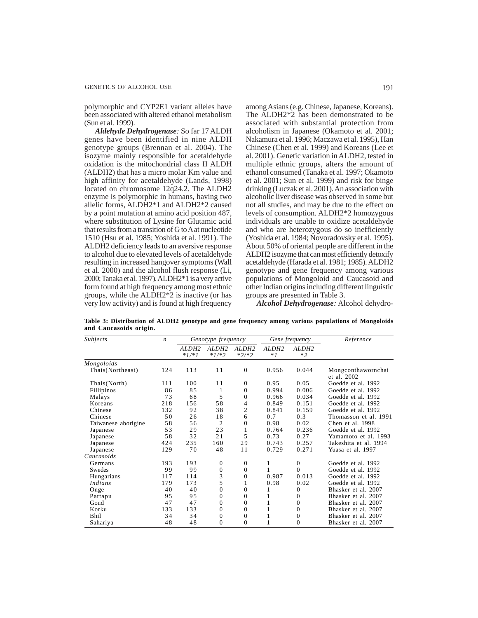## GENETICS OF ALCOHOL USE 191

polymorphic and CYP2E1 variant alleles have been associated with altered ethanol metabolism (Sun et al. 1999).

*Aldehyde Dehydrogenase:* So far 17 ALDH genes have been identified in nine ALDH genotype groups (Brennan et al. 2004). The isozyme mainly responsible for acetaldehyde oxidation is the mitochondrial class II ALDH (ALDH2) that has a micro molar Km value and high affinity for acetaldehyde (Lands, 1998) located on chromosome 12q24.2. The ALDH2 enzyme is polymorphic in humans, having two allelic forms, ALDH2\*1 and ALDH2\*2 caused by a point mutation at amino acid position 487, where substitution of Lysine for Glutamic acid that results from a transition of G to A at nucleotide 1510 (Hsu et al. 1985; Yoshida et al. 1991). The ALDH2 deficiency leads to an aversive response to alcohol due to elevated levels of acetaldehyde resulting in increased hangover symptoms (Wall et al. 2000) and the alcohol flush response (Li, 2000; Tanaka et al. 1997). ALDH2\*1 is a very active form found at high frequency among most ethnic groups, while the ALDH2\*2 is inactive (or has very low activity) and is found at high frequency among Asians (e.g. Chinese, Japanese, Koreans). The ALDH2\*2 has been demonstrated to be associated with substantial protection from alcoholism in Japanese (Okamoto et al. 2001; Nakamura et al. 1996; Maczawa et al. 1995), Han Chinese (Chen et al. 1999) and Koreans (Lee et al. 2001). Genetic variation in ALDH2, tested in multiple ethnic groups, alters the amount of ethanol consumed (Tanaka et al. 1997; Okamoto et al. 2001; Sun et al. 1999) and risk for binge drinking (Luczak et al. 2001). An association with alcoholic liver disease was observed in some but not all studies, and may be due to the effect on levels of consumption. ALDH2\*2 homozygous individuals are unable to oxidize acetaldehyde and who are heterozygous do so inefficiently (Yoshida et al. 1984; Novoradovsky et al. 1995). About 50% of oriental people are different in the ALDH2 isozyme that can most efficiently detoxify acetaldehyde (Harada et al. 1981; 1985). ALDH2 genotype and gene frequency among various populations of Mongoloid and Caucasoid and other Indian origins including different linguistic groups are presented in Table 3.

*Alcohol Dehydrogenase:* Alcohol dehydro-

| Subjects            | $\boldsymbol{n}$ | Genotype frequency           |                              |                              | Gene frequency |                           | Reference                         |
|---------------------|------------------|------------------------------|------------------------------|------------------------------|----------------|---------------------------|-----------------------------------|
|                     |                  | ALDH <sub>2</sub><br>$*1/*1$ | ALDH <sub>2</sub><br>$*1/*2$ | ALDH <sub>2</sub><br>$*2/*2$ | ALDH2<br>$*1$  | ALDH <sub>2</sub><br>$*2$ |                                   |
| Mongoloids          |                  |                              |                              |                              |                |                           |                                   |
| Thais(Northeast)    | 124              | 113                          | 11                           | $\mathbf{0}$                 | 0.956          | 0.044                     | Mongconthawornchai<br>et al. 2002 |
| Thais(North)        | 111              | 100                          | 11                           | $\mathbf{0}$                 | 0.95           | 0.05                      | Goedde et al. 1992                |
| Fillipinos          | 86               | 85                           | 1                            | $\boldsymbol{0}$             | 0.994          | 0.006                     | Goedde et al. 1992                |
| Malays              | 73               | 68                           | 5                            | 0                            | 0.966          | 0.034                     | Goedde et al. 1992                |
| Koreans             | 218              | 156                          | 58                           | 4                            | 0.849          | 0.151                     | Goedde et al. 1992                |
| Chinese             | 132              | 92                           | 38                           | $\mathbf{2}$                 | 0.841          | 0.159                     | Goedde et al. 1992                |
| Chinese             | 50               | 26                           | 18                           | 6                            | 0.7            | 0.3                       | Thomasson et al. 1991             |
| Taiwanese aborigine | 58               | 56                           | $\overline{c}$               | $\theta$                     | 0.98           | 0.02                      | Chen et al. 1998                  |
| Japanese            | 53               | 29                           | 23                           | 1                            | 0.764          | 0.236                     | Goedde et al. 1992                |
| Japanese            | 58               | 32                           | 21                           | 5                            | 0.73           | 0.27                      | Yamamoto et al. 1993              |
| Japanese            | 424              | 235                          | 160                          | 29                           | 0.743          | 0.257                     | Takeshita et al. 1994             |
| Japanese            | 129              | 70                           | 48                           | 11                           | 0.729          | 0.271                     | Yuasa et al. 1997                 |
| Caucasoids          |                  |                              |                              |                              |                |                           |                                   |
| Germans             | 193              | 193                          | 0                            | 0                            | 1              | $\theta$                  | Goedde et al. 1992                |
| Swedes              | 99               | 99                           | 0                            | $\mathbf{0}$                 |                | $\Omega$                  | Goedde et al. 1992                |
| Hungarians          | 117              | 114                          | 3                            | 0                            | 0.987          | 0.013                     | Goedde et al. 1992                |
| Indians             | 179              | 173                          | 5                            | 1                            | 0.98           | 0.02                      | Goedde et al. 1992                |
| Onge                | 40               | 40                           | 0                            | $\mathbf{0}$                 | 1              | $\mathbf{0}$              | Bhasker et al. 2007               |
| Pattapu             | 95               | 95                           | 0                            | $\mathbf{0}$                 | 1              | 0                         | Bhasker et al. 2007               |
| Gond                | 47               | 47                           | 0                            | $\theta$                     | 1              | 0                         | Bhasker et al. 2007               |
| Korku               | 133              | 133                          | 0                            | $\overline{0}$               |                | $\theta$                  | Bhasker et al. 2007               |
| <b>Bhil</b>         | 34               | 34                           | $\Omega$                     | $\mathbf{0}$                 |                | $\theta$                  | Bhasker et al. 2007               |
| Sahariya            | 48               | 48                           | 0                            | $\overline{0}$               | 1              | $\mathbf{0}$              | Bhasker et al. 2007               |

**Table 3: Distribution of ALDH2 genotype and gene frequency among various populations of Mongoloids and Caucasoids origin.**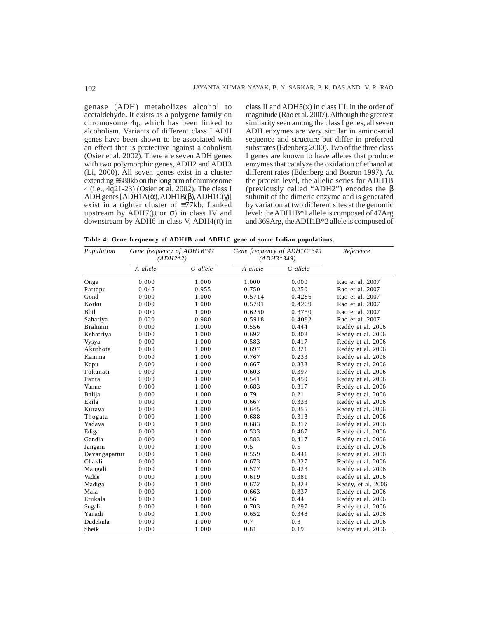genase (ADH) metabolizes alcohol to acetaldehyde. It exists as a polygene family on chromosome 4q, which has been linked to alcoholism. Variants of different class I ADH genes have been shown to be associated with an effect that is protective against alcoholism (Osier et al. 2002). There are seven ADH genes with two polymorphic genes, ADH2 and ADH3 (Li, 2000). All seven genes exist in a cluster extending ≅380kb on the long arm of chromosome 4 (i.e., 4q21-23) (Osier et al. 2002). The class I ADH genes [ADH1A(α), ADH1B(β), ADH1C(γ)] exist in a tighter cluster of ≅77kb, flanked upstream by ADH7( $\mu$  or  $\sigma$ ) in class IV and downstream by ADH6 in class V, ADH4 $(\pi)$  in

class II and  $ADH5(x)$  in class III, in the order of magnitude (Rao et al. 2007). Although the greatest similarity seen among the class I genes, all seven ADH enzymes are very similar in amino-acid sequence and structure but differ in preferred substrates (Edenberg 2000). Two of the three class I genes are known to have alleles that produce enzymes that catalyze the oxidation of ethanol at different rates (Edenberg and Bosron 1997). At the protein level, the allelic series for ADH1B (previously called "ADH2") encodes the β subunit of the dimeric enzyme and is generated by variation at two different sites at the genomic level: the ADH1B\*1 allele is composed of 47Arg and 369Arg, the ADH1B\*2 allele is composed of

**Table 4: Gene frequency of ADH1B and ADH1C gene of some Indian populations.**

| Population    | Gene frequency of ADH1B*47<br>$(ADH2*2)$ |          | Gene frequency of ADH1C*349<br>$(ADH3*349)$ | Reference |                    |
|---------------|------------------------------------------|----------|---------------------------------------------|-----------|--------------------|
|               | A allele                                 | G allele | A allele                                    | G allele  |                    |
| Onge          | 0.000                                    | 1.000    | 1.000                                       | 0.000     | Rao et al. 2007    |
| Pattapu       | 0.045                                    | 0.955    | 0.750                                       | 0.250     | Rao et al. 2007    |
| Gond          | 0.000                                    | 1.000    | 0.5714                                      | 0.4286    | Rao et al. 2007    |
| Korku         | 0.000                                    | 1.000    | 0.5791                                      | 0.4209    | Rao et al. 2007    |
| <b>Bhil</b>   | 0.000                                    | 1.000    | 0.6250                                      | 0.3750    | Rao et al. 2007    |
| Sahariya      | 0.020                                    | 0.980    | 0.5918                                      | 0.4082    | Rao et al. 2007    |
| Brahmin       | 0.000                                    | 1.000    | 0.556                                       | 0.444     | Reddy et al. 2006  |
| Kshatriya     | 0.000                                    | 1.000    | 0.692                                       | 0.308     | Reddy et al. 2006  |
| Vysya         | 0.000                                    | 1.000    | 0.583                                       | 0.417     | Reddy et al. 2006  |
| Akuthota      | 0.000                                    | 1.000    | 0.697                                       | 0.321     | Reddy et al. 2006  |
| Kamma         | 0.000                                    | 1.000    | 0.767                                       | 0.233     | Reddy et al. 2006  |
| Kapu          | 0.000                                    | 1.000    | 0.667                                       | 0.333     | Reddy et al. 2006  |
| Pokanati      | 0.000                                    | 1.000    | 0.603                                       | 0.397     | Reddy et al. 2006  |
| Panta         | 0.000                                    | 1.000    | 0.541                                       | 0.459     | Reddy et al. 2006  |
| Vanne         | 0.000                                    | 1.000    | 0.683                                       | 0.317     | Reddy et al. 2006  |
| Balija        | 0.000                                    | 1.000    | 0.79                                        | 0.21      | Reddy et al. 2006  |
| Ekila         | 0.000                                    | 1.000    | 0.667                                       | 0.333     | Reddy et al. 2006  |
| Kurava        | 0.000                                    | 1.000    | 0.645                                       | 0.355     | Reddy et al. 2006  |
| Thogata       | 0.000                                    | 1.000    | 0.688                                       | 0.313     | Reddy et al. 2006  |
| Yadava        | 0.000                                    | 1.000    | 0.683                                       | 0.317     | Reddy et al. 2006  |
| Ediga         | 0.000                                    | 1.000    | 0.533                                       | 0.467     | Reddy et al. 2006  |
| Gandla        | 0.000                                    | 1.000    | 0.583                                       | 0.417     | Reddy et al. 2006  |
| Jangam        | 0.000                                    | 1.000    | 0.5                                         | 0.5       | Reddy et al. 2006  |
| Devangapattur | 0.000                                    | 1.000    | 0.559                                       | 0.441     | Reddy et al. 2006  |
| Chakli        | 0.000                                    | 1.000    | 0.673                                       | 0.327     | Reddy et al. 2006  |
| Mangali       | 0.000                                    | 1.000    | 0.577                                       | 0.423     | Reddy et al. 2006  |
| Vadde         | 0.000                                    | 1.000    | 0.619                                       | 0.381     | Reddy et al. 2006  |
| Madiga        | 0.000                                    | 1.000    | 0.672                                       | 0.328     | Reddy, et al. 2006 |
| Mala          | 0.000                                    | 1.000    | 0.663                                       | 0.337     | Reddy et al. 2006  |
| Erukala       | 0.000                                    | 1.000    | 0.56                                        | 0.44      | Reddy et al. 2006  |
| Sugali        | 0.000                                    | 1.000    | 0.703                                       | 0.297     | Reddy et al. 2006  |
| Yanadi        | 0.000                                    | 1.000    | 0.652                                       | 0.348     | Reddy et al. 2006  |
| Dudekula      | 0.000                                    | 1.000    | 0.7                                         | 0.3       | Reddy et al. 2006  |
| Sheik         | 0.000                                    | 1.000    | 0.81                                        | 0.19      | Reddy et al. 2006  |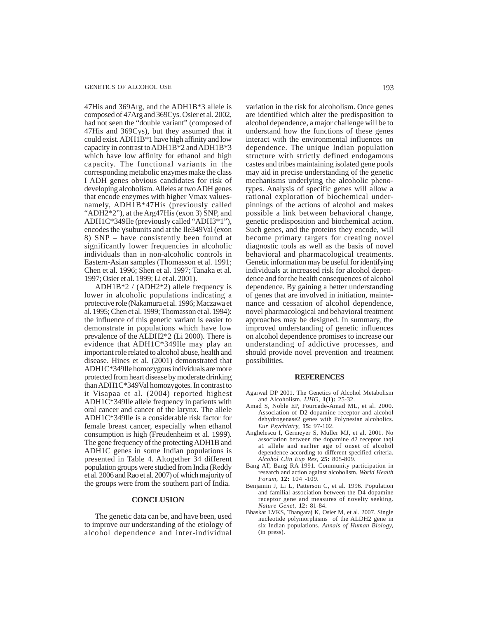47His and 369Arg, and the ADH1B\*3 allele is composed of 47Arg and 369Cys. Osier et al. 2002, had not seen the "double variant" (composed of 47His and 369Cys), but they assumed that it could exist. ADH1B\*1 have high affinity and low capacity in contrast to ADH1B\*2 and ADH1B\*3 which have low affinity for ethanol and high capacity. The functional variants in the corresponding metabolic enzymes make the class I ADH genes obvious candidates for risk of developing alcoholism. Alleles at two ADH genes that encode enzymes with higher Vmax valuesnamely, ADH1B\*47His (previously called "ADH2\*2"), at the Arg47His (exon 3) SNP, and ADH1C\*349Ile (previously called "ADH3\*1"), encodes the γ subunits and at the Ile349Val (exon 8) SNP – have consistently been found at significantly lower frequencies in alcoholic individuals than in non-alcoholic controls in Eastern-Asian samples (Thomasson et al. 1991; Chen et al. 1996; Shen et al. 1997; Tanaka et al. 1997; Osier et al. 1999; Li et al. 2001).

ADH1B\*2 / (ADH2\*2) allele frequency is lower in alcoholic populations indicating a protective role (Nakamura et al. 1996; Maczawa et al. 1995; Chen et al. 1999; Thomasson et al. 1994): the influence of this genetic variant is easier to demonstrate in populations which have low prevalence of the ALDH2\*2 (Li 2000). There is evidence that ADH1C\*349Ile may play an important role related to alcohol abuse, health and disease. Hines et al. (2001) demonstrated that ADH1C\*349Ile homozygous individuals are more protected from heart disease by moderate drinking than ADH1C\*349Val homozygotes. In contrast to it Visapaa et al. (2004) reported highest ADH1C\*349Ile allele frequency in patients with oral cancer and cancer of the larynx. The allele ADH1C\*349Ile is a considerable risk factor for female breast cancer, especially when ethanol consumption is high (Freudenheim et al. 1999). The gene frequency of the protecting ADH1B and ADH1C genes in some Indian populations is presented in Table 4. Altogether 34 different population groups were studied from India (Reddy et al. 2006 and Rao et al. 2007) of which majority of the groups were from the southern part of India.

#### **CONCLUSION**

The genetic data can be, and have been, used to improve our understanding of the etiology of alcohol dependence and inter-individual variation in the risk for alcoholism. Once genes are identified which alter the predisposition to alcohol dependence, a major challenge will be to understand how the functions of these genes interact with the environmental influences on dependence. The unique Indian population structure with strictly defined endogamous castes and tribes maintaining isolated gene pools may aid in precise understanding of the genetic mechanisms underlying the alcoholic phenotypes. Analysis of specific genes will allow a rational exploration of biochemical underpinnings of the actions of alcohol and makes possible a link between behavioral change, genetic predisposition and biochemical action. Such genes, and the proteins they encode, will become primary targets for creating novel diagnostic tools as well as the basis of novel behavioral and pharmacological treatments. Genetic information may be useful for identifying individuals at increased risk for alcohol dependence and for the health consequences of alcohol dependence. By gaining a better understanding of genes that are involved in initiation, maintenance and cessation of alcohol dependence, novel pharmacological and behavioral treatment approaches may be designed. In summary, the improved understanding of genetic influences on alcohol dependence promises to increase our understanding of addictive processes, and should provide novel prevention and treatment possibilities.

#### **REFERENCES**

- Agarwal DP 2001. The Genetics of Alcohol Metabolism and Alcoholism. *IJHG,* **1(1):** 25-32.
- Amad S, Noble EP, Fourcade-Amad ML, et al. 2000. Association of D2 dopamine receptor and alcohol dehydrogenase2 genes with Polynesian alcoholics. *Eur Psychiatry,* **15:** 97-102.
- Anghelescu I, Germeyer S, Muller MJ, et al. 2001. No association between the dopamine d2 receptor taqi a1 allele and earlier age of onset of alcohol dependence according to different specified criteria. *Alcohol Clin Exp Res,* **25:** 805-809.
- Bang AT, Bang RA 1991. Community participation in research and action against alcoholism. *World Health Forum,* **12:** 104 -109.
- Benjamin J, Li L, Patterson C, et al. 1996. Population and familial association between the D4 dopamine receptor gene and measures of novelty seeking. *Nature Genet,* **12:** 81-84.
- Bhaskar LVKS, Thangaraj K, Osier M, et al. 2007. Single nucleotide polymorphisms of the ALDH2 gene in six Indian populations. *Annals of Human Biology,* (in press).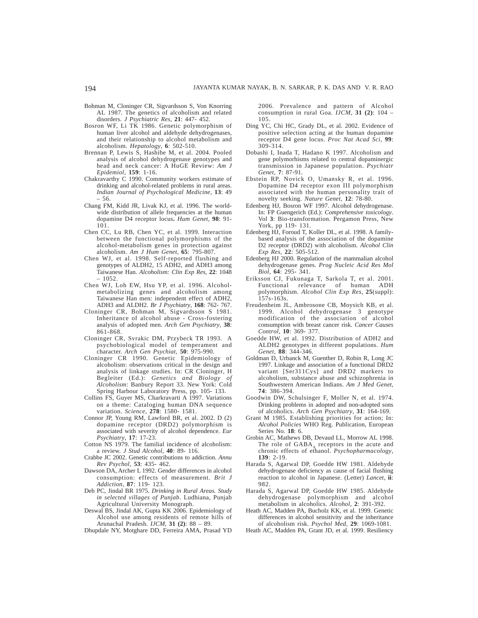- Bohman M, Cloninger CR, Sigvardsson S, Von Knorring AL 1987. The genetics of alcoholism and related disorders. *J Psychiatric Res*, **21**: 447- 452.
- Bosron WF, Li TK 1986. Genetic polymorphism of human liver alcohol and aldehyde dehydrogenases, and their relationship to alcohol metabolism and alcoholism. *Hepatology*, **6**: 502-510.
- Brennan P, Lewis S, Hashibe M, et al. 2004. Pooled analysis of alcohol dehydrogenase genotypes and head and neck cancer: A HuGE Review: *Am J Epidemiol*, **159**: 1-16.
- Chakravarthy C 1990. Community workers estimate of drinking and alcohol-related problems in rural areas. *Indian Journal of Psychological Medicine*, **13**: 49 – 56.
- Chang FM, Kidd JR, Livak KJ, et al. 1996. The worldwide distribution of allele frequencies at the human dopamine D4 receptor locus**.** *Hum Genet,* **98**: 91- 101.
- Chen CC, Lu RB, Chen YC, et al. 1999. Interaction between the functional polymorphisms of the alcohol-metabolism genes in protection against alcoholism. *Am J Hum Genet*, **65**: 795-807.
- Chen WJ, et al. 1998. Self-reported flushing and genotypes of ALDH2, 15 ADH2, and ADH3 among Taiwanese Han. *Alcoholism: Clin Exp Res*, **22**: 1048 – 1052.
- Chen WJ, Loh EW, Hsu YP, et al. 1996. Alcoholmetabolizing genes and alcoholism among Taiwanese Han men: independent effect of ADH2, ADH3 and ALDH2. *Br J Psychiatry*, **168**: 762- 767.
- Cloninger CR, Bohman M, Sigvardsson S 1981. Inheritance of alcohol abuse - Cross-fostering analysis of adopted men. *Arch Gen Psychiatry*, **38**: 861-868.
- Cloninger CR, Svrakic DM, Przybeck TR 1993. A psychobiological model of temperament and character. *Arch Gen Psychiat,* **50**: 975-990.
- Cloninger CR 1990. Genetic Epidemiology of alcoholism: observations critical in the design and analysis of linkage studies. In: CR Cloninger, H Begleiter (Ed.): *Genetics and Biology of Alcoholism*: Banbury Report 33. New York: Cold Spring Harbour Laboratory Press, pp. 105- 133.
- Collins FS, Guyer MS, Charkravarti A 1997. Variations on a theme: Cataloging human DNA sequence variation. *Science*, **278**: 1580- 1581.
- Connor JP, Young RM, Lawford BR, et al. 2002. D (2) dopamine receptor (DRD2) polymorphism is associated with severity of alcohol dependence. *Eur Psychiatry*, **17**: 17-23.
- Cotton NS 1979. The familial incidence of alcoholism: a review. *J Stud Alcohol*, **40**: 89- 116.
- Crabbe JC 2002. Genetic contributions to addiction. *Annu Rev Psychol*, **53**: 435- 462.
- Dawson DA, Archer L 1992. Gender differences in alcohol consumption: effects of measurement. *Brit J Addiction*, **87**: 119- 123.
- Deb PC, Jindal BR 1975. *Drinking in Rural Areas. Study in selected villages of Punjab*. Ludhiana, Punjab Agricultural University Monograph.
- Deswal BS, Jindal AK, Gupta KK 2006. Epidemiology of Alcohol use among residents of remote hills of Arunachal Pradesh. *IJCM*, **31 (2)**: 88 – 89.
- Dhupdale NY, Motghare DD, Ferreira AMA, Prasad YD

2006. Prevalence and pattern of Alcohol consumption in rural Goa. *IJCM*, **31 (2)**: 104 – 105.

- Ding YC, Chi HC, Grady DL, et al. 2002. Evidence of positive selection acting at the human dopamine receptor D4 gene locus. *Proc Nat Acad Sci,* **99**: 309-314.
- Dobashi I, Inada T, Hadano K 1997. Alcoholism and gene polymorhisms related to central dopaminergic transmission in Japanese population. *Psychiatr Genet*, **7**: 87-91.
- Ebstein RP, Novick O, Umansky R, et al. 1996. Dopamine D4 receptor exon III polymorphism associated with the human personality trait of novelty seeking. *Nature Genet,* **12**: 78-80.
- Edenberg HJ, Bosron WF 1997. Alcohol dehydrogenase. In: FP Guengerich (Ed.): *Comprehensive toxicology*. Vol **3**: Bio-transformation. Pergamon Press, New York, pp 119- 131.
- Edenberg HJ, Foroud T, Koller DL, et al. 1998. A familybased analysis of the association of the dopamine D2 receptor (DRD2) with alcoholism. *Alcohol Clin Exp Res*, **22**: 505-512.
- Edenberg HJ 2000. Regulation of the mammalian alcohol dehydrogenase genes. *Prog Nucleic Acid Res Mol Biol*, **64**: 295- 341.
- Eriksson CJ, Fukunaga T, Sarkola T, et al. 2001. Functional relevance of human ADH polymorphism. *Alcohol Clin Exp Res*, **25**(suppl): 157s-163s.
- Freudenheim JL, Ambrosone CB, Moysich KB, et al. 1999. Alcohol dehydrogenase 3 genotype modification of the association of alcohol consumption with breast cancer risk. *Cancer Causes Control*, **10**: 369- 377.
- Goedde HW, et al. 1992. Distribution of ADH2 and ALDH2 genotypes in different populations. *Hum Genet*, **88**: 344-346.
- Goldman D, Urbanck M, Guenther D, Robin R, Long JC 1997. Linkage and association of a functional DRD2 variant [Ser311Cys] and DRD2 markers to alcoholism, substance abuse and schizophrenia in Southwestern American Indians. *Am J Med Genet*, **74**: 386-394.
- Goodwin DW, Schulsinger F, Moller N, et al. 1974. Drinking problems in adopted and non-adopted sons of alcoholics. *Arch Gen Psychiatry*, **31**: 164-169.
- Grant M 1985. Establishing priorities for action; In: *Alcohol Policies* WHO Reg. Publication, European Series No. **18**: 6.
- Grobin AC, Mathews DB, Devaud LL, Morrow AL 1998. The role of  $GABA$  receptors in the acute and chronic effects of ethanol. *Psychopharmacology*, **139**: 2-19.
- Harada S, Agarwal DP, Goedde HW 1981. Aldehyde dehydrogenase deficiency as cause of facial flushing reaction to alcohol in Japanese. (Letter) *Lancet*, **ii**: 982.
- Harada S, Agarwal DP, Goedde HW 1985. Aldehyde dehydrogenase polymorphism and alcohol metabolism in alcoholics. *Alcohol*, **2**: 391-392.
- Heath AC, Madden PA, Bucholz KK, et al. 1999. Genetic differences in alcohol sensitivity and the inheritance of alcoholism risk. *Psychol Med*, **29**: 1069-1081.
- Heath AC, Madden PA, Grant JD, et al. 1999. Resiliency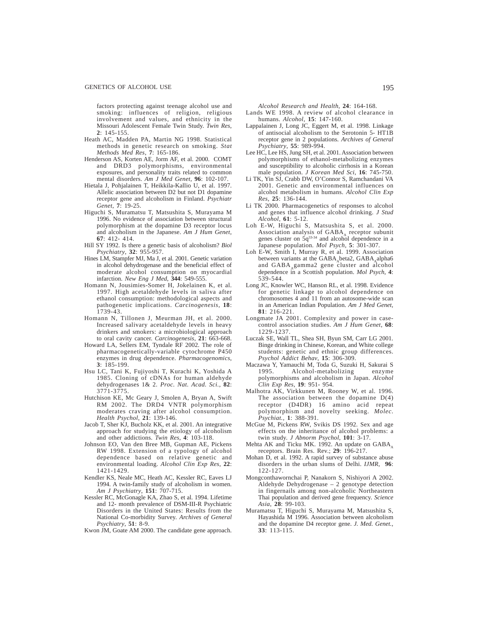## GENETICS OF ALCOHOL USE 195

factors protecting against teenage alcohol use and smoking: influences of religion, religious involvement and values, and ethnicity in the Missouri Adolescent Female Twin Study. *Twin Res*, **2**: 145-155.

- Heath AC, Madden PA, Martin NG 1998. Statistical methods in genetic research on smoking. *Stat Methods Med Res*, **7**: 165-186.
- Henderson AS, Korten AE, Jorm AF, et al. 2000. COMT and DRD3 polymorphisms, environmental exposures, and personality traits related to common mental disorders. *Am J Med Genet*, **96**: 102-107.
- Hietala J, Pohjalainen T, Heikkila-Kallio U, et al. 1997. Allelic association between D2 but not D1 dopamine receptor gene and alcoholism in Finland. *Psychiatr Genet*, **7**: 19-25.
- Higuchi S, Muramatsu T, Matsushita S, Murayama M 1996. No evidence of association between structural polymorphism at the dopamine D3 receptor locus and alcoholism in the Japanese. *Am J Hum Genet*, **67**: 412- 414.
- Hill SY 1992. Is there a genetic basis of alcoholism? *Biol Psychiatry*, **32**: 955-957.
- Hines LM, Stampfer MJ, Ma J, et al. 2001. Genetic variation in alcohol dehydrogenase and the beneficial effect of moderate alcohol consumption on myocardial infarction. *New Eng J Med*, **344**: 549-555.
- Homann N, Jousimies-Somer H, Jokelainen K, et al. 1997. High acetaldehyde levels in saliva after ethanol consumption: methodological aspects and pathogenetic implications. *Carcinogenesis*, **18**: 1739-43.
- Homann N, Tillonen J, Meurman JH, et al. 2000. Increased salivary acetaldehyde levels in heavy drinkers and smokers: a microbiological approach to oral cavity cancer. *Carcinogenesis*, **21**: 663-668.
- Howard LA, Sellers EM, Tyndale RF 2002. The role of pharmacogenetically-variable cytochrome P450 enzymes in drug dependence. *Pharmacogenomics*, **3**: 185-199.
- Hsu LC, Tani K, Fujiyoshi T, Kurachi K, Yoshida A 1985. Cloning of cDNAs for human aldehyde dehydrogenases 1& 2. *Proc. Nat. Acad. Sci.*, **82**: 3771-3775.
- Hutchison KE, Mc Geary J, Smolen A, Bryan A, Swift RM 2002. The DRD4 VNTR polymorphism moderates craving after alcohol consumption. *Health Psychol*, **21**: 139-146.
- Jacob T, Sher KJ, Bucholz KK, et al. 2001. An integrative approach for studying the etiology of alcoholism and other addictions. *Twin Res*, **4**: 103-118.
- Johnson EO, Van den Bree MB, Gupman AE, Pickens RW 1998. Extension of a typology of alcohol dependence based on relative genetic and environmental loading. *Alcohol Clin Exp Res*, **22**: 1421-1429.
- Kendler KS, Neale MC, Heath AC, Kessler RC, Eaves LJ 1994. A twin-family study of alcoholism in women. *Am J Psychiatry*, **151**: 707-715.
- Kessler RC, McGonagle KA, Zhao S, et al. 1994. Lifetime and 12- month prevalence of DSM-III-R Psychiatric Disorders in the United States: Results from the National Co-morbidity Survey. *Archives of General Psychiatry*, **51**: 8-9.
- Kwon JM, Goate AM 2000. The candidate gene approach.

*Alcohol Research and Health*, **24**: 164-168.

- Lands WE 1998. A review of alcohol clearance in humans. *Alcohol*, **15**: 147-160.
- Lappalainen J, Long JC, Eggert M, et al. 1998. Linkage of antisocial alcoholism to the Serotonin 5- HT1B receptor gene in 2 populations. *Archives of General Psychiatry*, **55**: 989-994.
- Lee HC, Lee HS, Jung SH, et al. 2001. Association between polymorphisms of ethanol-metabolizing enzymes and susceptibility to alcoholic cirrhosis in a Korean male population. *J Korean Med Sci*, **16**: 745-750.
- Li TK, Yin SJ, Crabb DW, O'Connor S, Ramchandani VA 2001. Genetic and environmental influences on alcohol metabolism in humans. *Alcohol Clin Exp Res*, **25**: 136-144.
- Li TK 2000. Pharmacogenetics of responses to alcohol and genes that influence alcohol drinking. *J Stud Alcohol*, **61**: 5-12.
- Loh E-W, Higuchi S, Matsushita S, et al. 2000. Association analysis of  $GABA_A$  receptor subunit genes cluster on 5q33-34 and alcohol dependence in a Japanese population. *Mol Psych*, **5**: 301-307.
- Loh E-W, Smith I, Murray R, et al. 1999. Association between variants at the  $GABA_{\alpha}$ beta2,  $GABA_{\alpha}$ alpha6 and  $GABA_{A}gamma2$  gene cluster and alcohol dependence in a Scottish population. *Mol Psych*, **4**: 539-544.
- Long JC, Knowler WC, Hanson RL, et al. 1998. Evidence for genetic linkage to alcohol dependence on chromosomes 4 and 11 from an autosome-wide scan in an American Indian Population. *Am J Med Genet*, **81**: 216-221.
- Longmate JA 2001. Complexity and power in casecontrol association studies. *Am J Hum Genet*, **68**: 1229-1237.
- Luczak SE, Wall TL, Shea SH, Byun SM, Carr LG 2001. Binge drinking in Chinese, Korean, and White college students: genetic and ethnic group differences. *Psychol Addict Behav*, **15**: 306-309.
- Maczawa Y, Yamauchi M, Toda G, Suzuki H, Sakurai S Alcohol-metabolizing enzyme polymorphisms and alcoholism in Japan. *Alcohol Clin Exp Res*, **19**: 951- 954.
- Malhotra AK, Virkkunen M, Rooney W, et al. 1996. The association between the dopamine D(4) receptor (D4DR) 16 amino acid repeat polymorphism and novelty seeking. *Molec. Psychiat.,* **1**: 388-391.
- McGue M, Pickens RW, Svikis DS 1992. Sex and age effects on the inheritance of alcohol problems: a twin study. *J Abnorm Psychol*, **101**: 3-17.
- Mehta AK and Ticku MK. 1992. An update on GABA, receptors. Brain Res. Rev.; **29**: 196-217.
- Mohan D, et al. 1992. A rapid survey of substance abuse disorders in the urban slums of Delhi. *IJMR*, **96**: 122-127.
- Mongconthawornchai P, Nanakorn S, Nishiyori A 2002. Aldehyde Dehydrogenase – 2 genotype detection in fingernails among non-alcoholic Northeastern Thai population and derived gene frequency. *Science Asia*, **28**: 99-103.
- Muramatsu T, Higuchi S, Murayama M, Matsushita S, Hayashida M 1996. Association between alcoholism and the dopamine D4 receptor gene. *J. Med. Genet.,* **33**: 113-115.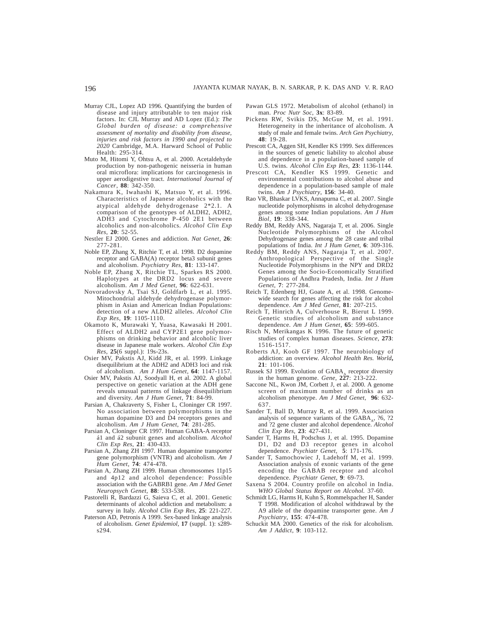- Murray CJL, Lopez AD 1996. Quantifying the burden of disease and injury attributable to ten major risk factors. In: CJL Murray and AD Lopez (Ed.): *The Global burden of disease: a comprehensive assessment of mortality and disability from disease, injuries and risk factors in 1990 and projected to 2020* Cambridge, M.A. Harward School of Public Health: 295-314.
- Muto M, Hitomi Y, Ohtsu A, et al. 2000. Acetaldehyde production by non-pathogenic neisseria in human oral microflora: implications for carcinogenesis in upper aerodigestive tract. *International Journal of Cancer*, **88**: 342-350.
- Nakamura K, Iwahashi K, Matsuo Y, et al. 1996. Characteristics of Japanese alcoholics with the atypical aldehyde dehydrogenase 2\*2.1. A comparison of the genotypes of ALDH2, ADH2, ADH3 and Cytochrome P-450 2E1 between alcoholics and non-alcoholics. *Alcohol Clin Exp Res*, **20**: 52-55.
- Nestler EJ 2000. Genes and addiction. *Nat Genet*, **26**: 277-281.
- Noble EP, Zhang X, Ritchie T, et al. 1998. D2 dopamine receptor and GABA(A) receptor beta3 subunit genes and alcoholism. *Psychiatry Res*, **81**: 133-147.
- Noble EP, Zhang X, Ritchie TL, Sparkes RS 2000. Haplotypes at the DRD2 locus and severe alcoholism. *Am J Med Genet*, **96**: 622-631.
- Novoradovsky A, Tsai SJ, Goldfarb L, et al. 1995. Mitochondrial aldehyde dehydrogenase polymorphism in Asian and American Indian Populations: detection of a new ALDH2 alleles. *Alcohol Clin Exp Res*, **19**: 1105-1110.
- Okamoto K, Murawaki Y, Yuasa, Kawasaki H 2001. Effect of ALDH2 and CYP2E1 gene polymorphisms on drinking behavior and alcoholic liver disease in Japanese male workers. *Alcohol Clin Exp Res*, **25**(6 suppl.): 19s-23s.
- Osier MV, Pakstis AJ, Kidd JR, et al. 1999. Linkage disequilibrium at the ADH2 and ADH3 loci and risk of alcoholism. *Am J Hum Genet*, **64**: 1147-1157.
- Osier MV, Pakstis AJ, Soodyall H, et al. 2002. A global perspective on genetic variation at the ADH gene reveals unusual patterns of linkage disequilibrium and diversity. *Am J Hum Genet*, **71**: 84-99.
- Parsian A, Chakraverty S, Fisher L, Cloninger CR 1997. No association between polymorphisms in the human dopamine D3 and D4 receptors genes and alcoholism. *Am J Hum Genet*, **74**: 281-285.
- Parsian A, Cloninger CR 1997. Human GABA-A receptor á1 and á2 subunit genes and alcoholism. *Alcohol Clin Exp Res*, **21**: 430-433.
- Parsian A, Zhang ZH 1997. Human dopamine transporter gene polymorphism (VNTR) and alcoholism. *Am J Hum Genet*, **74**: 474-478.
- Parsian A, Zhang ZH 1999. Human chromosomes 11p15 and 4p12 and alcohol dependence: Possible association with the GABRB1 gene. *Am J Med Genet Neuropsych Genet*, **88**: 533-538.
- Pastorelli R, Bardazzi G, Saieva C, et al. 2001. Genetic determinants of alcohol addiction and metabolism: a survey in Italy. *Alcohol Clin Exp Res*, **25**: 221-227.
- Paterson AD, Petronis A 1999. Sex-based linkage analysis of alcoholism. *Genet Epidemiol*, **17** (suppl. 1): s289 s294.
- Pawan GLS 1972. Metabolism of alcohol (ethanol) in man. *Proc Nutr Soc*, **3x**: 83-89.
- Pickens RW, Svikis DS, McGue M, et al. 1991. Heterogeneity in the inheritance of alcoholism. A study of male and female twins. *Arch Gen Psychiatry*, **48**: 19-28.
- Prescott CA, Aggen SH, Kendler KS 1999. Sex differences in the sources of genetic liability to alcohol abuse and dependence in a population-based sample of U.S. twins. *Alcohol Clin Exp Res*, **23**: 1136-1144.
- Prescott CA, Kendler KS 1999. Genetic and environmental contributions to alcohol abuse and dependence in a population-based sample of male twins. *Am J Psychiatry*, **156**: 34-40.
- Rao VR, Bhaskar LVKS, Annapurna C, et al. 2007. Single nucleotide polymorphisms in alcohol dehydrogenase genes among some Indian populations. *Am J Hum Biol*, **19**: 338-344.
- Reddy BM, Reddy ANS, Nagaraja T, et al. 2006. Single Nucleotide Polymorphisms of the Alcohol Dehydrogenase genes among the 28 caste and tribal populations of India. *Int J Hum Genet*, **6**: 309-316.
- Reddy BM, Reddy ANS, Nagaraja T, et al. 2007. Anthropological Perspective of the Single Nucleotide Polymorphisms in the NPY and DRD2 Genes among the Socio-Economically Stratified Populations of Andhra Pradesh, India. *Int J Hum Genet*, **7**: 277-284.
- Reich T, Edenberg HJ, Goate A, et al. 1998. Genomewide search for genes affecting the risk for alcohol dependence. *Am J Med Genet*, **81**: 207-215.
- Reich T, Hinrich A, Culverhouse R, Bierut L 1999. Genetic studies of alcoholism and substance dependence. *Am J Hum Genet*, **65**: 599-605.
- Risch N, Merikangas K 1996. The future of genetic studies of complex human diseases. *Science*, **273**: 1516-1517.
- Roberts AJ, Koob GF 1997. The neurobiology of addiction: an overview. *Alcohol Health Res. World***, 21**: 101-106.
- Russek SJ 1999. Evolution of  $GABA$ <sub> $\lambda$ </sub> receptor diversity in the human genome. *Gene*, **227**: 213-222.
- Saccone NL, Kwon JM, Corbett J, et al. 2000. A genome screen of maximum number of drinks as an alcoholism phenotype. *Am J Med Genet*, **96**: 632- 637.
- Sander T, Ball D, Murray R, et al. 1999. Association analysis of sequence variants of the  $GABA<sub>2</sub>$ , ?6, ?2 and ?2 gene cluster and alcohol dependence. *Alcohol Clin Exp Res*, **23**: 427-431.
- Sander T, Harms H, Podschus J, et al. 1995. Dopamine D1, D2 and D3 receptor genes in alcohol dependence. *Psychiatr Genet*, **5**: 171-176.
- Sander T, Samochowiec J, Ladehoff M, et al. 1999. Association analysis of exonic variants of the gene encoding the GABAB receptor and alcohol dependence. *Psychiatr Genet*, **9**: 69-73.
- Saxena S 2004. Country profile on alcohol in India. *WHO Global Status Report on Alcohol.* 37-60.
- Schmidt LG, Harms H, Kuhn S, Rommelspacher H, Sander T 1998. Modification of alcohol withdrawal by the A9 allele of the dopamine transporter gene. *Am J Psychiatry*, **155**: 474-478.
- Schuckit MA 2000. Genetics of the risk for alcoholism. *Am J Addict*, **9**: 103-112.